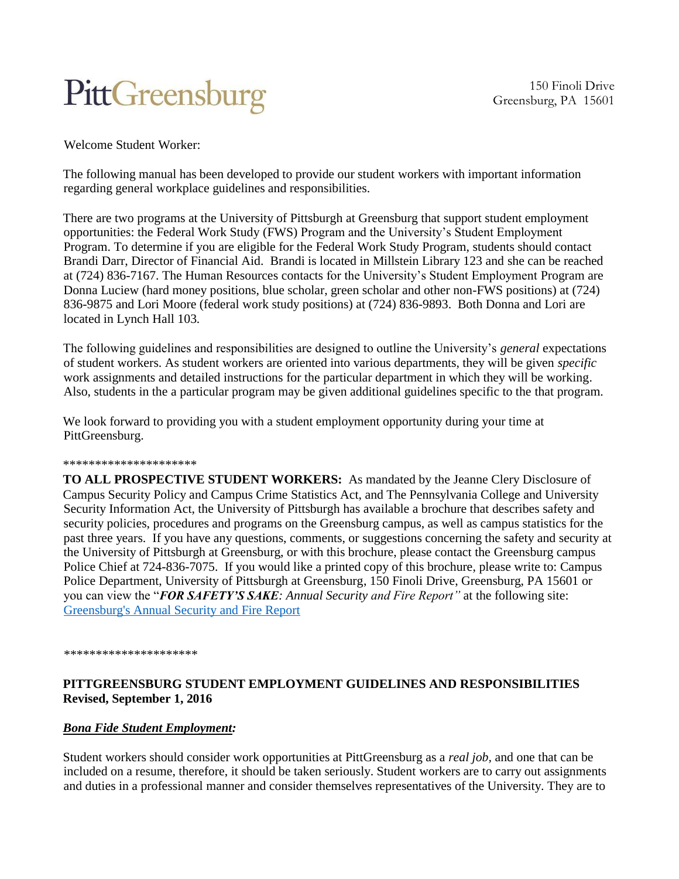# PittGreensburg

Welcome Student Worker:

The following manual has been developed to provide our student workers with important information regarding general workplace guidelines and responsibilities.

There are two programs at the University of Pittsburgh at Greensburg that support student employment opportunities: the Federal Work Study (FWS) Program and the University's Student Employment Program. To determine if you are eligible for the Federal Work Study Program, students should contact Brandi Darr, Director of Financial Aid. Brandi is located in Millstein Library 123 and she can be reached at (724) 836-7167. The Human Resources contacts for the University's Student Employment Program are Donna Luciew (hard money positions, blue scholar, green scholar and other non-FWS positions) at (724) 836-9875 and Lori Moore (federal work study positions) at (724) 836-9893. Both Donna and Lori are located in Lynch Hall 103.

The following guidelines and responsibilities are designed to outline the University's *general* expectations of student workers. As student workers are oriented into various departments, they will be given *specific*  work assignments and detailed instructions for the particular department in which they will be working. Also, students in the a particular program may be given additional guidelines specific to the that program.

We look forward to providing you with a student employment opportunity during your time at PittGreensburg.

## \*\*\*\*\*\*\*\*\*\*\*\*\*\*\*\*\*\*\*\*\*

**TO ALL PROSPECTIVE STUDENT WORKERS:** As mandated by the Jeanne Clery Disclosure of Campus Security Policy and Campus Crime Statistics Act, and The Pennsylvania College and University Security Information Act, the University of Pittsburgh has available a brochure that describes safety and security policies, procedures and programs on the Greensburg campus, as well as campus statistics for the past three years. If you have any questions, comments, or suggestions concerning the safety and security at the University of Pittsburgh at Greensburg, or with this brochure, please contact the Greensburg campus Police Chief at 724-836-7075. If you would like a printed copy of this brochure, please write to: Campus Police Department, University of Pittsburgh at Greensburg, 150 Finoli Drive, Greensburg, PA 15601 or you can view the "*FOR SAFETY'S SAKE: Annual Security and Fire Report"* at the following site: [Greensburg's Annual Security](http://greensburg.pitt.edu/sites/default/files/1233PittGbgSafetySakeBk.pdf) and Fire Report

\*\*\*\*\*\*\*\*\*\*\*\*\*\*\*\*\*\*\*\*\*

# **PITTGREENSBURG STUDENT EMPLOYMENT GUIDELINES AND RESPONSIBILITIES Revised, September 1, 2016**

# *Bona Fide Student Employment:*

Student workers should consider work opportunities at PittGreensburg as a *real job,* and one that can be included on a resume, therefore, it should be taken seriously. Student workers are to carry out assignments and duties in a professional manner and consider themselves representatives of the University. They are to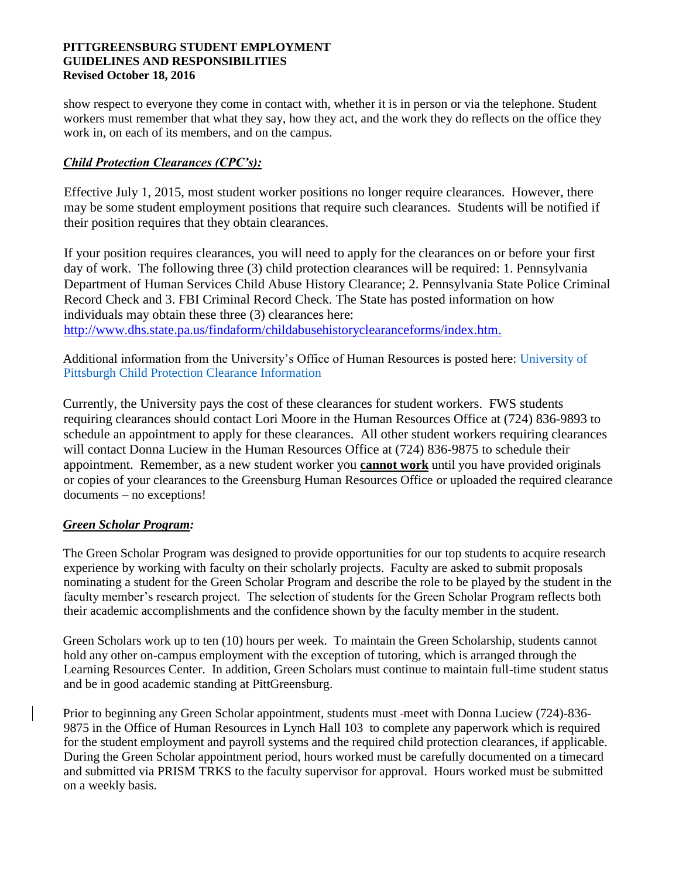show respect to everyone they come in contact with, whether it is in person or via the telephone. Student workers must remember that what they say, how they act, and the work they do reflects on the office they work in, on each of its members, and on the campus.

# *Child Protection Clearances (CPC's):*

Effective July 1, 2015, most student worker positions no longer require clearances. However, there may be some student employment positions that require such clearances. Students will be notified if their position requires that they obtain clearances.

If your position requires clearances, you will need to apply for the clearances on or before your first day of work. The following three (3) child protection clearances will be required: 1. Pennsylvania Department of Human Services Child Abuse History Clearance; 2. Pennsylvania State Police Criminal Record Check and 3. FBI Criminal Record Check. The State has posted information on how individuals may obtain these three (3) clearances here: [http://www.dhs.state.pa.us/findaform/childabusehistoryclearanceforms/index.htm.](http://www.dhs.state.pa.us/findaform/childabusehistoryclearanceforms/index.htm)

Additional information from the University's Office of Human Resources is posted here: [University of](http://www.hr.pitt.edu/sites/default/files/Clearance%20Instructions.pdf)  [Pittsburgh Child Protection Clearance Information](http://www.hr.pitt.edu/sites/default/files/Clearance%20Instructions.pdf)

Currently, the University pays the cost of these clearances for student workers. FWS students requiring clearances should contact Lori Moore in the Human Resources Office at (724) 836-9893 to schedule an appointment to apply for these clearances. All other student workers requiring clearances will contact Donna Luciew in the Human Resources Office at (724) 836-9875 to schedule their appointment. Remember, as a new student worker you **cannot work** until you have provided originals or copies of your clearances to the Greensburg Human Resources Office or uploaded the required clearance documents – no exceptions!

# *Green Scholar Program:*

The Green Scholar Program was designed to provide opportunities for our top students to acquire research experience by working with faculty on their scholarly projects. Faculty are asked to submit proposals nominating a student for the Green Scholar Program and describe the role to be played by the student in the faculty member's research project. The selection of students for the Green Scholar Program reflects both their academic accomplishments and the confidence shown by the faculty member in the student.

Green Scholars work up to ten (10) hours per week. To maintain the Green Scholarship, students cannot hold any other on-campus employment with the exception of tutoring, which is arranged through the Learning Resources Center. In addition, Green Scholars must continue to maintain full-time student status and be in good academic standing at PittGreensburg.

Prior to beginning any Green Scholar appointment, students must -meet with Donna Luciew (724)-836-9875 in the Office of Human Resources in Lynch Hall 103 to complete any paperwork which is required for the student employment and payroll systems and the required child protection clearances, if applicable. During the Green Scholar appointment period, hours worked must be carefully documented on a timecard and submitted via PRISM TRKS to the faculty supervisor for approval. Hours worked must be submitted on a weekly basis.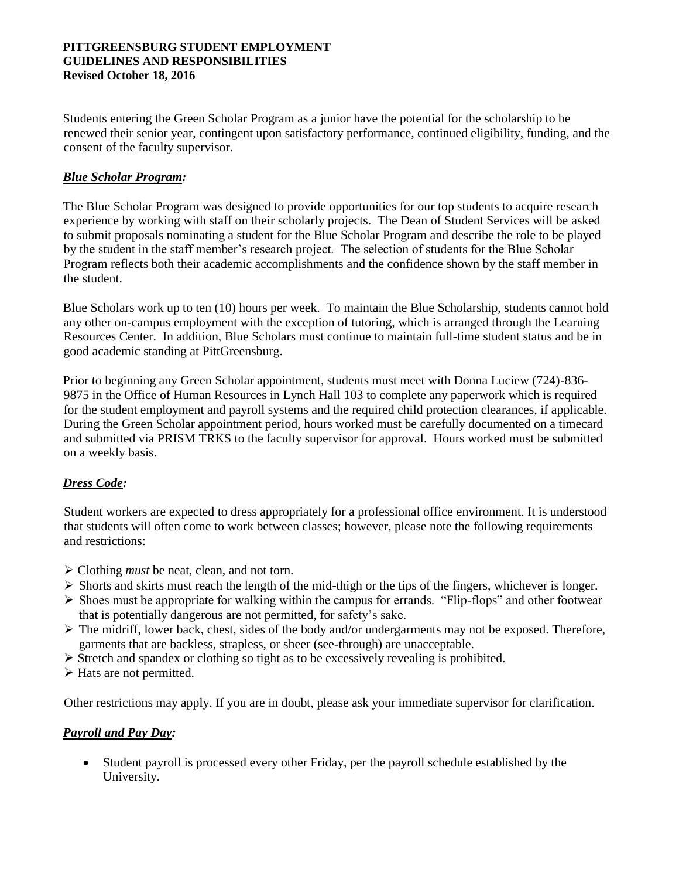Students entering the Green Scholar Program as a junior have the potential for the scholarship to be renewed their senior year, contingent upon satisfactory performance, continued eligibility, funding, and the consent of the faculty supervisor.

# *Blue Scholar Program:*

The Blue Scholar Program was designed to provide opportunities for our top students to acquire research experience by working with staff on their scholarly projects. The Dean of Student Services will be asked to submit proposals nominating a student for the Blue Scholar Program and describe the role to be played by the student in the staff member's research project. The selection of students for the Blue Scholar Program reflects both their academic accomplishments and the confidence shown by the staff member in the student.

Blue Scholars work up to ten (10) hours per week. To maintain the Blue Scholarship, students cannot hold any other on-campus employment with the exception of tutoring, which is arranged through the Learning Resources Center. In addition, Blue Scholars must continue to maintain full-time student status and be in good academic standing at PittGreensburg.

Prior to beginning any Green Scholar appointment, students must meet with Donna Luciew (724)-836- 9875 in the Office of Human Resources in Lynch Hall 103 to complete any paperwork which is required for the student employment and payroll systems and the required child protection clearances, if applicable. During the Green Scholar appointment period, hours worked must be carefully documented on a timecard and submitted via PRISM TRKS to the faculty supervisor for approval. Hours worked must be submitted on a weekly basis.

# *Dress Code:*

Student workers are expected to dress appropriately for a professional office environment. It is understood that students will often come to work between classes; however, please note the following requirements and restrictions:

- Clothing *must* be neat, clean, and not torn.
- $\triangleright$  Shorts and skirts must reach the length of the mid-thigh or the tips of the fingers, whichever is longer.
- $\triangleright$  Shoes must be appropriate for walking within the campus for errands. "Flip-flops" and other footwear that is potentially dangerous are not permitted, for safety's sake.
- $\triangleright$  The midriff, lower back, chest, sides of the body and/or undergarments may not be exposed. Therefore, garments that are backless, strapless, or sheer (see-through) are unacceptable.
- $\triangleright$  Stretch and spandex or clothing so tight as to be excessively revealing is prohibited.
- $\triangleright$  Hats are not permitted.

Other restrictions may apply. If you are in doubt, please ask your immediate supervisor for clarification.

# *Payroll and Pay Day:*

 Student payroll is processed every other Friday, per the payroll schedule established by the University.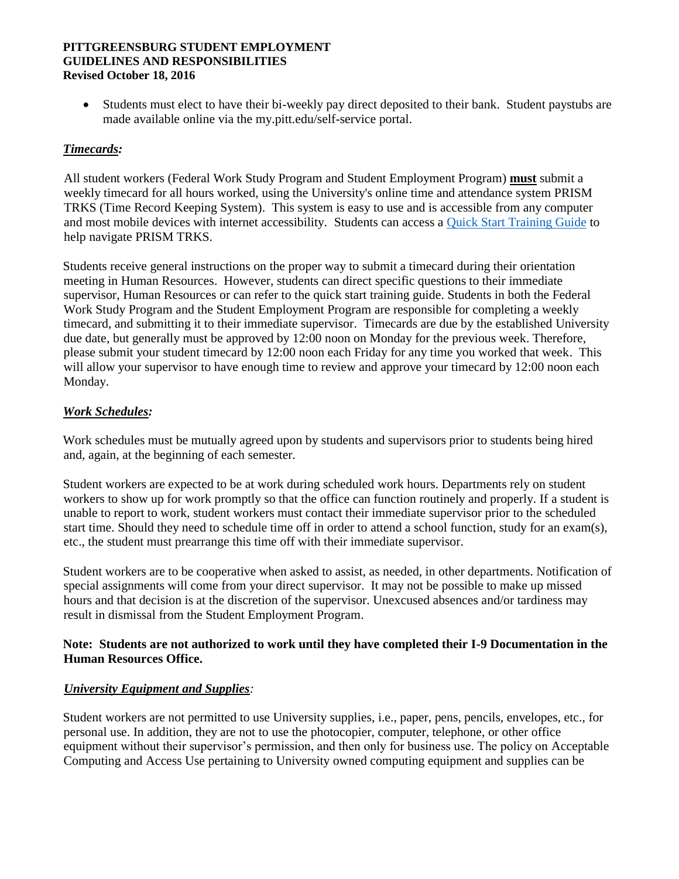• Students must elect to have their bi-weekly pay direct deposited to their bank. Student paystubs are made available online via the my.pitt.edu/self-service portal.

# *Timecards:*

All student workers (Federal Work Study Program and Student Employment Program) **must** submit a weekly timecard for all hours worked, using the University's online time and attendance system PRISM TRKS (Time Record Keeping System). This system is easy to use and is accessible from any computer and most mobile devices with internet accessibility. Students can access a [Quick Start Training Guide](http://www.hr.pitt.edu/sites/default/files/uploads/student_benefits/Students_Guide.pdf) to help navigate PRISM TRKS.

Students receive general instructions on the proper way to submit a timecard during their orientation meeting in Human Resources. However, students can direct specific questions to their immediate supervisor, Human Resources or can refer to the quick start training guide. Students in both the Federal Work Study Program and the Student Employment Program are responsible for completing a weekly timecard, and submitting it to their immediate supervisor. Timecards are due by the established University due date, but generally must be approved by 12:00 noon on Monday for the previous week. Therefore, please submit your student timecard by 12:00 noon each Friday for any time you worked that week. This will allow your supervisor to have enough time to review and approve your timecard by 12:00 noon each Monday.

# *Work Schedules:*

Work schedules must be mutually agreed upon by students and supervisors prior to students being hired and, again, at the beginning of each semester.

Student workers are expected to be at work during scheduled work hours. Departments rely on student workers to show up for work promptly so that the office can function routinely and properly. If a student is unable to report to work, student workers must contact their immediate supervisor prior to the scheduled start time. Should they need to schedule time off in order to attend a school function, study for an exam(s), etc., the student must prearrange this time off with their immediate supervisor.

Student workers are to be cooperative when asked to assist, as needed, in other departments. Notification of special assignments will come from your direct supervisor. It may not be possible to make up missed hours and that decision is at the discretion of the supervisor. Unexcused absences and/or tardiness may result in dismissal from the Student Employment Program.

# **Note: Students are not authorized to work until they have completed their I-9 Documentation in the Human Resources Office.**

# *University Equipment and Supplies:*

Student workers are not permitted to use University supplies, i.e., paper, pens, pencils, envelopes, etc., for personal use. In addition, they are not to use the photocopier, computer, telephone, or other office equipment without their supervisor's permission, and then only for business use. The policy on Acceptable Computing and Access Use pertaining to University owned computing equipment and supplies can be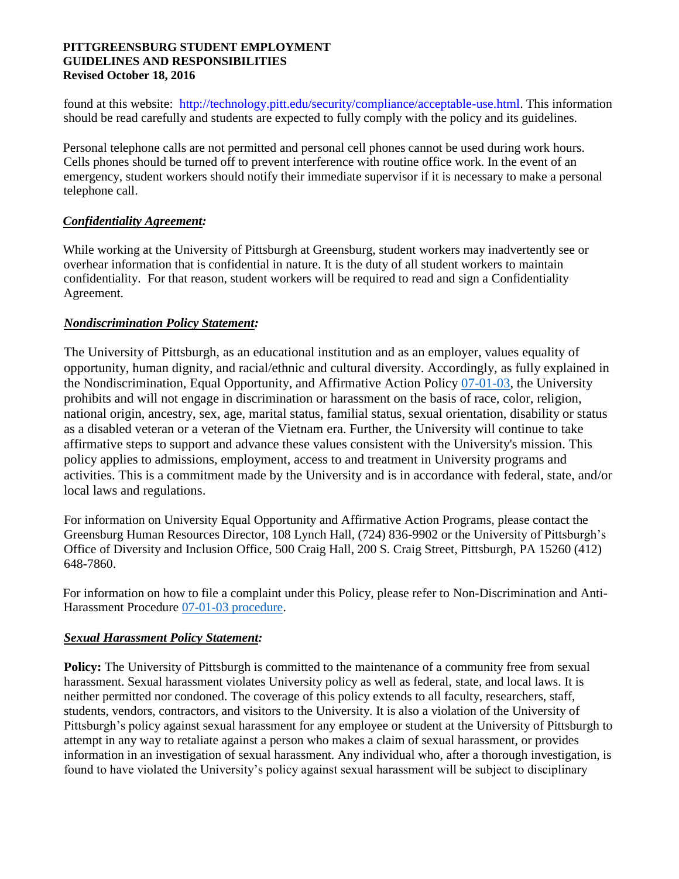found at this website: [http://technology.pitt.edu/security/compliance/acceptable-use.html.](http://technology.pitt.edu/security/compliance/acceptable-use.html) This information should be read carefully and students are expected to fully comply with the policy and its guidelines.

Personal telephone calls are not permitted and personal cell phones cannot be used during work hours. Cells phones should be turned off to prevent interference with routine office work. In the event of an emergency, student workers should notify their immediate supervisor if it is necessary to make a personal telephone call.

# *Confidentiality Agreement:*

While working at the University of Pittsburgh at Greensburg, student workers may inadvertently see or overhear information that is confidential in nature. It is the duty of all student workers to maintain confidentiality. For that reason, student workers will be required to read and sign a Confidentiality Agreement.

# *Nondiscrimination Policy Statement:*

The University of Pittsburgh, as an educational institution and as an employer, values equality of opportunity, human dignity, and racial/ethnic and cultural diversity. Accordingly, as fully explained in the Nondiscrimination, Equal Opportunity, and Affirmative Action Policy [07-01-03,](http://cfo.pitt.edu/policies/documents/policy07-01-03web.pdf) the University prohibits and will not engage in discrimination or harassment on the basis of race, color, religion, national origin, ancestry, sex, age, marital status, familial status, sexual orientation, disability or status as a disabled veteran or a veteran of the Vietnam era. Further, the University will continue to take affirmative steps to support and advance these values consistent with the University's mission. This policy applies to admissions, employment, access to and treatment in University programs and activities. This is a commitment made by the University and is in accordance with federal, state, and/or local laws and regulations.

For information on University Equal Opportunity and Affirmative Action Programs, please contact the Greensburg Human Resources Director, 108 Lynch Hall, (724) 836-9902 or the University of Pittsburgh's Office of Diversity and Inclusion Office, 500 Craig Hall, 200 S. Craig Street, Pittsburgh, PA 15260 (412) 648-7860.

For information on how to file a complaint under this Policy, please refer to Non-Discrimination and Anti-Harassment Procedure [07-01-03 procedure.](http://cfo.pitt.edu/policies/documents/procedure07-01-03web.pdf)

# *Sexual Harassment Policy Statement:*

**Policy:** The University of Pittsburgh is committed to the maintenance of a community free from sexual harassment. Sexual harassment violates University policy as well as federal, state, and local laws. It is neither permitted nor condoned. The coverage of this policy extends to all faculty, researchers, staff, students, vendors, contractors, and visitors to the University. It is also a violation of the University of Pittsburgh's policy against sexual harassment for any employee or student at the University of Pittsburgh to attempt in any way to retaliate against a person who makes a claim of sexual harassment, or provides information in an investigation of sexual harassment. Any individual who, after a thorough investigation, is found to have violated the University's policy against sexual harassment will be subject to disciplinary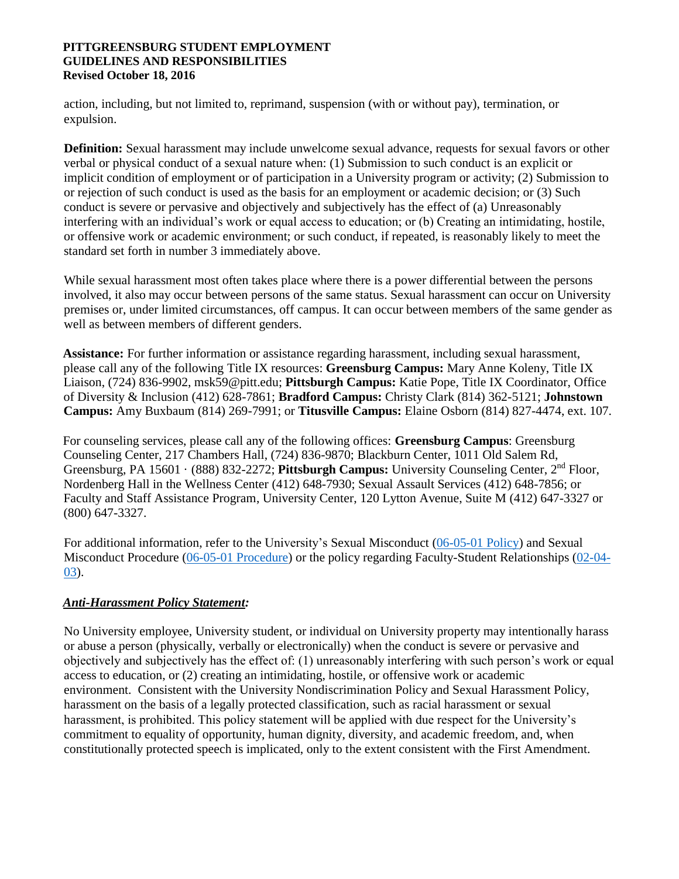action, including, but not limited to, reprimand, suspension (with or without pay), termination, or expulsion.

**Definition:** Sexual harassment may include unwelcome sexual advance, requests for sexual favors or other verbal or physical conduct of a sexual nature when: (1) Submission to such conduct is an explicit or implicit condition of employment or of participation in a University program or activity; (2) Submission to or rejection of such conduct is used as the basis for an employment or academic decision; or (3) Such conduct is severe or pervasive and objectively and subjectively has the effect of (a) Unreasonably interfering with an individual's work or equal access to education; or (b) Creating an intimidating, hostile, or offensive work or academic environment; or such conduct, if repeated, is reasonably likely to meet the standard set forth in number 3 immediately above.

While sexual harassment most often takes place where there is a power differential between the persons involved, it also may occur between persons of the same status. Sexual harassment can occur on University premises or, under limited circumstances, off campus. It can occur between members of the same gender as well as between members of different genders.

**Assistance:** For further information or assistance regarding harassment, including sexual harassment, please call any of the following Title IX resources: **Greensburg Campus:** Mary Anne Koleny, Title IX Liaison, (724) 836-9902, msk59@pitt.edu; **Pittsburgh Campus:** Katie Pope, Title IX Coordinator, Office of Diversity & Inclusion (412) 628-7861; **Bradford Campus:** Christy Clark (814) 362-5121; **Johnstown Campus:** Amy Buxbaum (814) 269-7991; or **Titusville Campus:** Elaine Osborn (814) 827-4474, ext. 107.

For counseling services, please call any of the following offices: **Greensburg Campus**: Greensburg Counseling Center, 217 Chambers Hall, (724) 836-9870; Blackburn Center, 1011 Old Salem Rd, Greensburg, PA 15601 · (888) 832-2272; **Pittsburgh Campus:** University Counseling Center, 2nd Floor, Nordenberg Hall in the Wellness Center (412) 648-7930; Sexual Assault Services (412) 648-7856; or Faculty and Staff Assistance Program, University Center, 120 Lytton Avenue, Suite M (412) 647-3327 or (800) 647-3327.

For additional information, refer to the University's Sexual Misconduct [\(06-05-01](http://www.cfo.pitt.edu/policies/documents/policy06-05-01web.pdf) Policy) and Sexual Misconduct Procedure [\(06-05-01 Procedure\)](http://cfo.pitt.edu/policies/documents/procedure06-05-01web.pdf) or the policy regarding Faculty-Student Relationships [\(02-04-](https://www.cfo.pitt.edu/policies/policy/02/02-04-03.html) [03\)](https://www.cfo.pitt.edu/policies/policy/02/02-04-03.html).

# *Anti-Harassment Policy Statement:*

No University employee, University student, or individual on University property may intentionally harass or abuse a person (physically, verbally or electronically) when the conduct is severe or pervasive and objectively and subjectively has the effect of: (1) unreasonably interfering with such person's work or equal access to education, or (2) creating an intimidating, hostile, or offensive work or academic environment. Consistent with the University Nondiscrimination Policy and Sexual Harassment Policy, harassment on the basis of a legally protected classification, such as racial harassment or sexual harassment, is prohibited. This policy statement will be applied with due respect for the University's commitment to equality of opportunity, human dignity, diversity, and academic freedom, and, when constitutionally protected speech is implicated, only to the extent consistent with the First Amendment.